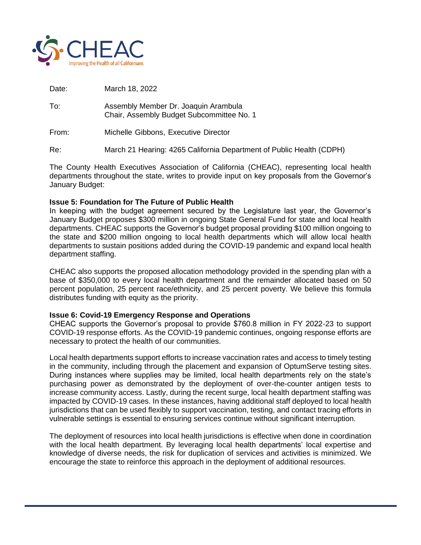

Date: March 18, 2022

- To: Assembly Member Dr. Joaquin Arambula Chair, Assembly Budget Subcommittee No. 1
- From: Michelle Gibbons, Executive Director

Re: March 21 Hearing: 4265 California Department of Public Health (CDPH)

The County Health Executives Association of California (CHEAC), representing local health departments throughout the state, writes to provide input on key proposals from the Governor's January Budget:

## **Issue 5: Foundation for The Future of Public Health**

In keeping with the budget agreement secured by the Legislature last year, the Governor's January Budget proposes \$300 million in ongoing State General Fund for state and local health departments. CHEAC supports the Governor's budget proposal providing \$100 million ongoing to the state and \$200 million ongoing to local health departments which will allow local health departments to sustain positions added during the COVID-19 pandemic and expand local health department staffing.

CHEAC also supports the proposed allocation methodology provided in the spending plan with a base of \$350,000 to every local health department and the remainder allocated based on 50 percent population, 25 percent race/ethnicity, and 25 percent poverty. We believe this formula distributes funding with equity as the priority.

#### **Issue 6: Covid-19 Emergency Response and Operations**

CHEAC supports the Governor's proposal to provide \$760.8 million in FY 2022-23 to support COVID-19 response efforts. As the COVID-19 pandemic continues, ongoing response efforts are necessary to protect the health of our communities.

Local health departments support efforts to increase vaccination rates and access to timely testing in the community, including through the placement and expansion of OptumServe testing sites. During instances where supplies may be limited, local health departments rely on the state's purchasing power as demonstrated by the deployment of over-the-counter antigen tests to increase community access. Lastly, during the recent surge, local health department staffing was impacted by COVID-19 cases. In these instances, having additional staff deployed to local health jurisdictions that can be used flexibly to support vaccination, testing, and contact tracing efforts in vulnerable settings is essential to ensuring services continue without significant interruption.

The deployment of resources into local health jurisdictions is effective when done in coordination with the local health department. By leveraging local health departments' local expertise and knowledge of diverse needs, the risk for duplication of services and activities is minimized. We encourage the state to reinforce this approach in the deployment of additional resources.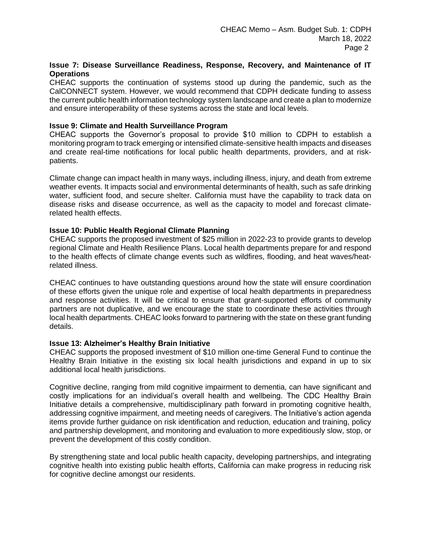# **Issue 7: Disease Surveillance Readiness, Response, Recovery, and Maintenance of IT Operations**

CHEAC supports the continuation of systems stood up during the pandemic, such as the CalCONNECT system. However, we would recommend that CDPH dedicate funding to assess the current public health information technology system landscape and create a plan to modernize and ensure interoperability of these systems across the state and local levels.

## **Issue 9: Climate and Health Surveillance Program**

CHEAC supports the Governor's proposal to provide \$10 million to CDPH to establish a monitoring program to track emerging or intensified climate-sensitive health impacts and diseases and create real-time notifications for local public health departments, providers, and at riskpatients.

Climate change can impact health in many ways, including illness, injury, and death from extreme weather events. It impacts social and environmental determinants of health, such as safe drinking water, sufficient food, and secure shelter. California must have the capability to track data on disease risks and disease occurrence, as well as the capacity to model and forecast climaterelated health effects.

## **Issue 10: Public Health Regional Climate Planning**

CHEAC supports the proposed investment of \$25 million in 2022-23 to provide grants to develop regional Climate and Health Resilience Plans. Local health departments prepare for and respond to the health effects of climate change events such as wildfires, flooding, and heat waves/heatrelated illness.

CHEAC continues to have outstanding questions around how the state will ensure coordination of these efforts given the unique role and expertise of local health departments in preparedness and response activities. It will be critical to ensure that grant-supported efforts of community partners are not duplicative, and we encourage the state to coordinate these activities through local health departments. CHEAC looks forward to partnering with the state on these grant funding details.

#### **Issue 13: Alzheimer's Healthy Brain Initiative**

CHEAC supports the proposed investment of \$10 million one-time General Fund to continue the Healthy Brain Initiative in the existing six local health jurisdictions and expand in up to six additional local health jurisdictions.

Cognitive decline, ranging from mild cognitive impairment to dementia, can have significant and costly implications for an individual's overall health and wellbeing. The CDC Healthy Brain Initiative details a comprehensive, multidisciplinary path forward in promoting cognitive health, addressing cognitive impairment, and meeting needs of caregivers. The Initiative's action agenda items provide further guidance on risk identification and reduction, education and training, policy and partnership development, and monitoring and evaluation to more expeditiously slow, stop, or prevent the development of this costly condition.

By strengthening state and local public health capacity, developing partnerships, and integrating cognitive health into existing public health efforts, California can make progress in reducing risk for cognitive decline amongst our residents.